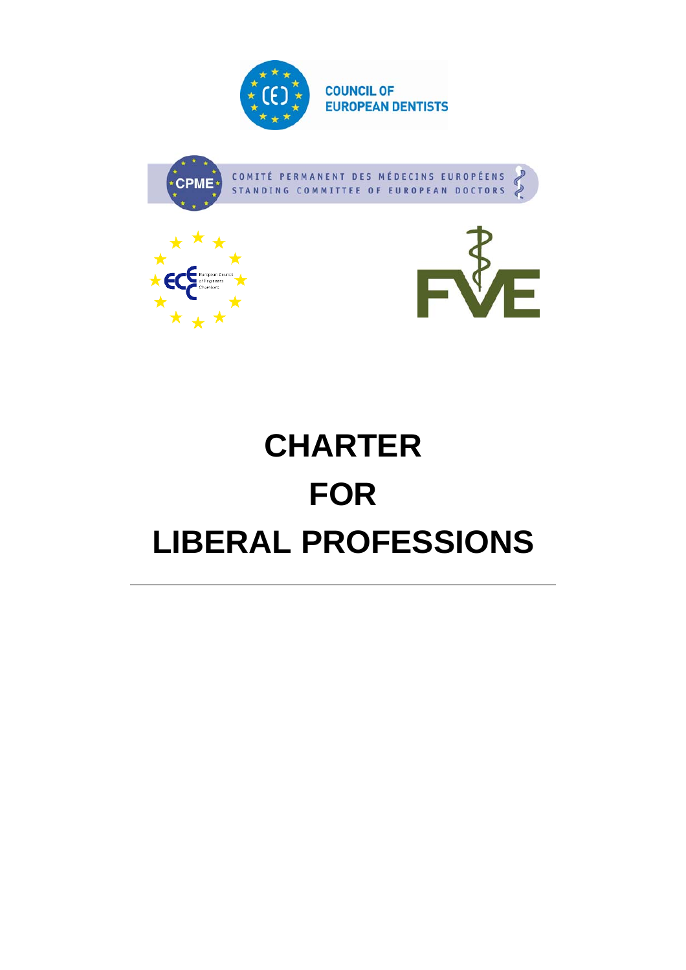







# **CHARTER FOR LIBERAL PROFESSIONS**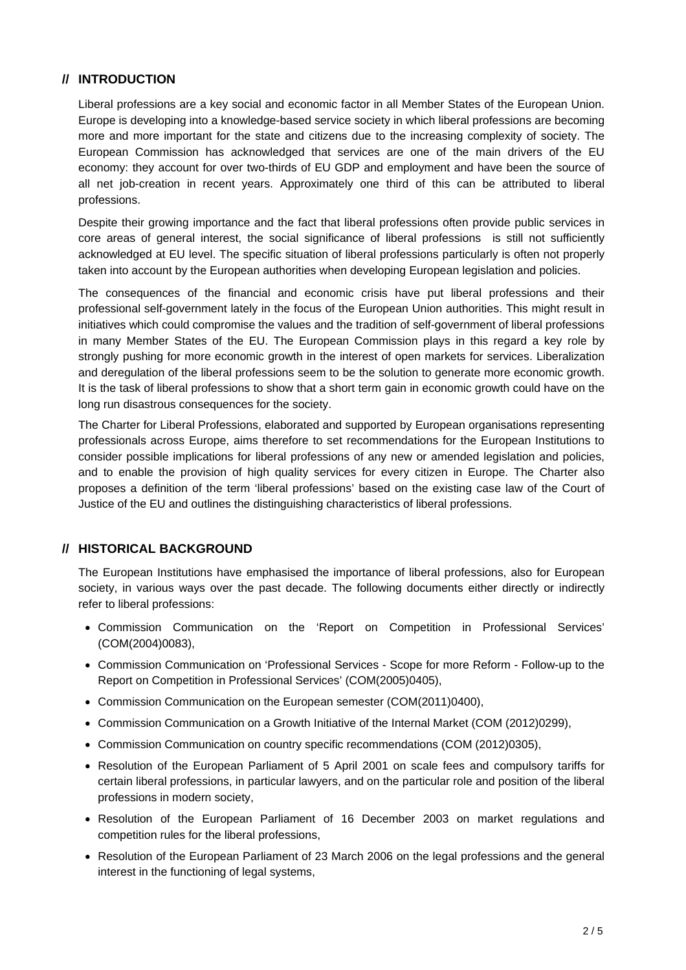# **// INTRODUCTION**

Liberal professions are a key social and economic factor in all Member States of the European Union. Europe is developing into a knowledge-based service society in which liberal professions are becoming more and more important for the state and citizens due to the increasing complexity of society. The European Commission has acknowledged that services are one of the main drivers of the EU economy: they account for over two-thirds of EU GDP and employment and have been the source of all net job-creation in recent years. Approximately one third of this can be attributed to liberal professions.

Despite their growing importance and the fact that liberal professions often provide public services in core areas of general interest, the social significance of liberal professions is still not sufficiently acknowledged at EU level. The specific situation of liberal professions particularly is often not properly taken into account by the European authorities when developing European legislation and policies.

The consequences of the financial and economic crisis have put liberal professions and their professional self-government lately in the focus of the European Union authorities. This might result in initiatives which could compromise the values and the tradition of self-government of liberal professions in many Member States of the EU. The European Commission plays in this regard a key role by strongly pushing for more economic growth in the interest of open markets for services. Liberalization and deregulation of the liberal professions seem to be the solution to generate more economic growth. It is the task of liberal professions to show that a short term gain in economic growth could have on the long run disastrous consequences for the society.

The Charter for Liberal Professions, elaborated and supported by European organisations representing professionals across Europe, aims therefore to set recommendations for the European Institutions to consider possible implications for liberal professions of any new or amended legislation and policies, and to enable the provision of high quality services for every citizen in Europe. The Charter also proposes a definition of the term 'liberal professions' based on the existing case law of the Court of Justice of the EU and outlines the distinguishing characteristics of liberal professions.

#### **// HISTORICAL BACKGROUND**

The European Institutions have emphasised the importance of liberal professions, also for European society, in various ways over the past decade. The following documents either directly or indirectly refer to liberal professions:

- Commission Communication on the 'Report on Competition in Professional Services' (COM(2004)0083),
- Commission Communication on 'Professional Services Scope for more Reform Follow-up to the Report on Competition in Professional Services' (COM(2005)0405),
- Commission Communication on the European semester (COM(2011)0400),
- Commission Communication on a Growth Initiative of the Internal Market (COM (2012)0299),
- Commission Communication on country specific recommendations (COM (2012)0305),
- Resolution of the European Parliament of 5 April 2001 on scale fees and compulsory tariffs for certain liberal professions, in particular lawyers, and on the particular role and position of the liberal professions in modern society,
- Resolution of the European Parliament of 16 December 2003 on market regulations and competition rules for the liberal professions,
- Resolution of the European Parliament of 23 March 2006 on the legal professions and the general interest in the functioning of legal systems,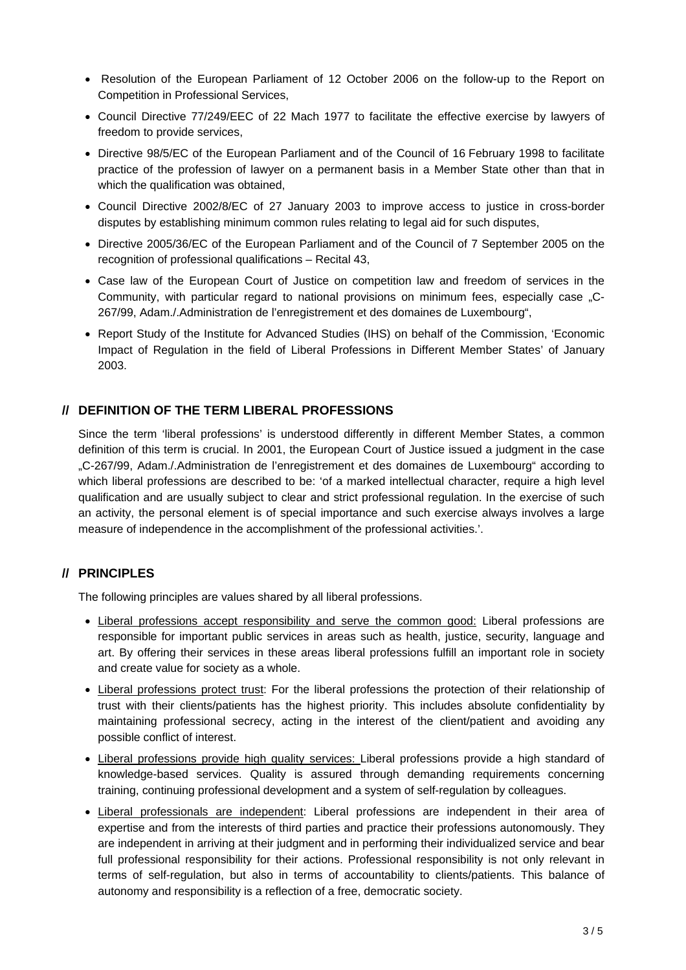- Resolution of the European Parliament of 12 October 2006 on the follow-up to the Report on Competition in Professional Services,
- Council Directive 77/249/EEC of 22 Mach 1977 to facilitate the effective exercise by lawyers of freedom to provide services,
- Directive 98/5/EC of the European Parliament and of the Council of 16 February 1998 to facilitate practice of the profession of lawyer on a permanent basis in a Member State other than that in which the qualification was obtained,
- Council Directive 2002/8/EC of 27 January 2003 to improve access to justice in cross-border disputes by establishing minimum common rules relating to legal aid for such disputes,
- Directive 2005/36/EC of the European Parliament and of the Council of 7 September 2005 on the recognition of professional qualifications – Recital 43,
- Case law of the European Court of Justice on competition law and freedom of services in the Community, with particular regard to national provisions on minimum fees, especially case "C-267/99, Adam./.Administration de l'enregistrement et des domaines de Luxembourg",
- Report Study of the Institute for Advanced Studies (IHS) on behalf of the Commission, 'Economic Impact of Regulation in the field of Liberal Professions in Different Member States' of January 2003.

#### **// DEFINITION OF THE TERM LIBERAL PROFESSIONS**

Since the term 'liberal professions' is understood differently in different Member States, a common definition of this term is crucial. In 2001, the European Court of Justice issued a judgment in the case "C-267/99, Adam./.Administration de l'enregistrement et des domaines de Luxembourg" according to which liberal professions are described to be: 'of a marked intellectual character, require a high level qualification and are usually subject to clear and strict professional regulation. In the exercise of such an activity, the personal element is of special importance and such exercise always involves a large measure of independence in the accomplishment of the professional activities.'.

# **// PRINCIPLES**

The following principles are values shared by all liberal professions.

- Liberal professions accept responsibility and serve the common good: Liberal professions are responsible for important public services in areas such as health, justice, security, language and art. By offering their services in these areas liberal professions fulfill an important role in society and create value for society as a whole.
- Liberal professions protect trust: For the liberal professions the protection of their relationship of trust with their clients/patients has the highest priority. This includes absolute confidentiality by maintaining professional secrecy, acting in the interest of the client/patient and avoiding any possible conflict of interest.
- Liberal professions provide high quality services: Liberal professions provide a high standard of knowledge-based services. Quality is assured through demanding requirements concerning training, continuing professional development and a system of self-regulation by colleagues.
- Liberal professionals are independent: Liberal professions are independent in their area of expertise and from the interests of third parties and practice their professions autonomously. They are independent in arriving at their judgment and in performing their individualized service and bear full professional responsibility for their actions. Professional responsibility is not only relevant in terms of self-regulation, but also in terms of accountability to clients/patients. This balance of autonomy and responsibility is a reflection of a free, democratic society.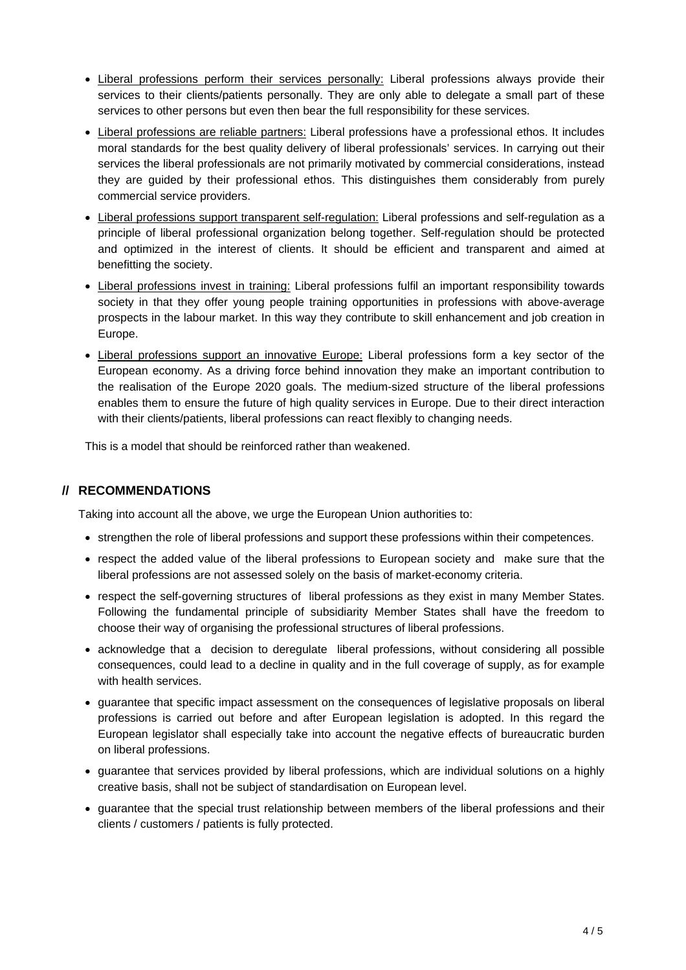- Liberal professions perform their services personally: Liberal professions always provide their services to their clients/patients personally. They are only able to delegate a small part of these services to other persons but even then bear the full responsibility for these services.
- Liberal professions are reliable partners: Liberal professions have a professional ethos. It includes moral standards for the best quality delivery of liberal professionals' services. In carrying out their services the liberal professionals are not primarily motivated by commercial considerations, instead they are guided by their professional ethos. This distinguishes them considerably from purely commercial service providers.
- Liberal professions support transparent self-regulation: Liberal professions and self-regulation as a principle of liberal professional organization belong together. Self-regulation should be protected and optimized in the interest of clients. It should be efficient and transparent and aimed at benefitting the society.
- Liberal professions invest in training: Liberal professions fulfil an important responsibility towards society in that they offer young people training opportunities in professions with above-average prospects in the labour market. In this way they contribute to skill enhancement and job creation in Europe.
- Liberal professions support an innovative Europe: Liberal professions form a key sector of the European economy. As a driving force behind innovation they make an important contribution to the realisation of the Europe 2020 goals. The medium-sized structure of the liberal professions enables them to ensure the future of high quality services in Europe. Due to their direct interaction with their clients/patients, liberal professions can react flexibly to changing needs.

This is a model that should be reinforced rather than weakened.

# **// RECOMMENDATIONS**

Taking into account all the above, we urge the European Union authorities to:

- strengthen the role of liberal professions and support these professions within their competences.
- respect the added value of the liberal professions to European society and make sure that the liberal professions are not assessed solely on the basis of market-economy criteria.
- respect the self-governing structures of liberal professions as they exist in many Member States. Following the fundamental principle of subsidiarity Member States shall have the freedom to choose their way of organising the professional structures of liberal professions.
- acknowledge that a decision to deregulate liberal professions, without considering all possible consequences, could lead to a decline in quality and in the full coverage of supply, as for example with health services.
- guarantee that specific impact assessment on the consequences of legislative proposals on liberal professions is carried out before and after European legislation is adopted. In this regard the European legislator shall especially take into account the negative effects of bureaucratic burden on liberal professions.
- guarantee that services provided by liberal professions, which are individual solutions on a highly creative basis, shall not be subject of standardisation on European level.
- guarantee that the special trust relationship between members of the liberal professions and their clients / customers / patients is fully protected.